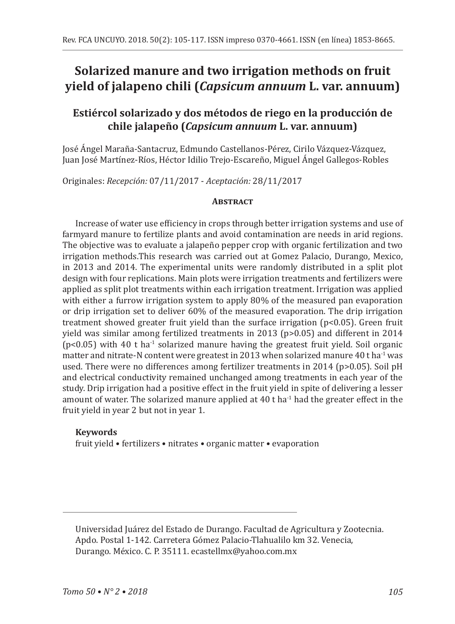# **Solarized manure and two irrigation methods on fruit yield of jalapeno chili (***Capsicum annuum* **L. var. annuum)**

## **Estiércol solarizado y dos métodos de riego en la producción de chile jalapeño (***Capsicum annuum* **L. var. annuum)**

José Ángel Maraña-Santacruz, Edmundo Castellanos-Pérez, Cirilo Vázquez-Vázquez, Juan José Martínez-Ríos, Héctor Idilio Trejo-Escareño, Miguel Ángel Gallegos-Robles

Originales: *Recepción:* 07/11/2017 - *Aceptación:* 28/11/2017

## **Abstract**

Increase of water use efficiency in crops through better irrigation systems and use of farmyard manure to fertilize plants and avoid contamination are needs in arid regions. The objective was to evaluate a jalapeño pepper crop with organic fertilization and two irrigation methods.This research was carried out at Gomez Palacio, Durango, Mexico, in 2013 and 2014. The experimental units were randomly distributed in a split plot design with four replications. Main plots were irrigation treatments and fertilizers were applied as split plot treatments within each irrigation treatment. Irrigation was applied with either a furrow irrigation system to apply 80% of the measured pan evaporation or drip irrigation set to deliver 60% of the measured evaporation. The drip irrigation treatment showed greater fruit yield than the surface irrigation (p<0.05). Green fruit yield was similar among fertilized treatments in 2013 (p>0.05) and different in 2014  $(p<0.05)$  with 40 t ha<sup>-1</sup> solarized manure having the greatest fruit yield. Soil organic matter and nitrate-N content were greatest in 2013 when solarized manure 40 t ha<sup>-1</sup> was used. There were no differences among fertilizer treatments in 2014 (p>0.05). Soil pH and electrical conductivity remained unchanged among treatments in each year of the study. Drip irrigation had a positive effect in the fruit yield in spite of delivering a lesser amount of water. The solarized manure applied at  $40$  t ha<sup>-1</sup> had the greater effect in the fruit yield in year 2 but not in year 1.

## **Keywords**

fruit yield • fertilizers • nitrates • organic matter • evaporation

Universidad Juárez del Estado de Durango. Facultad de Agricultura y Zootecnia. Apdo. Postal 1-142. Carretera Gómez Palacio-Tlahualilo km 32. Venecia, Durango. México. C. P. 35111. ecastellmx@yahoo.com.mx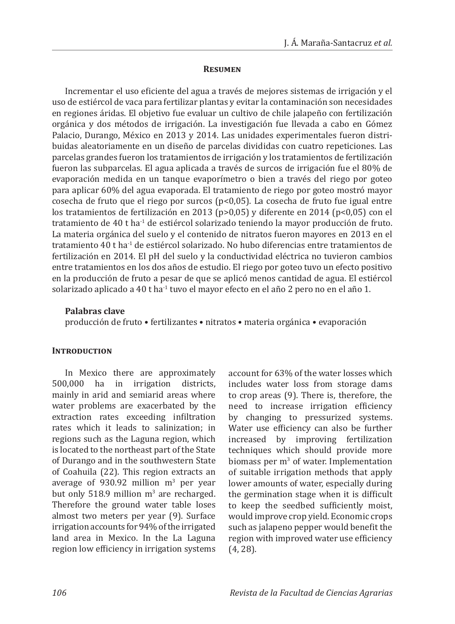#### **Resumen**

Incrementar el uso eficiente del agua a través de mejores sistemas de irrigación y el uso de estiércol de vaca para fertilizar plantas y evitar la contaminación son necesidades en regiones áridas. El objetivo fue evaluar un cultivo de chile jalapeño con fertilización orgánica y dos métodos de irrigación. La investigación fue llevada a cabo en Gómez Palacio, Durango, México en 2013 y 2014. Las unidades experimentales fueron distribuidas aleatoriamente en un diseño de parcelas divididas con cuatro repeticiones. Las parcelas grandes fueron los tratamientos de irrigación y los tratamientos de fertilización fueron las subparcelas. El agua aplicada a través de surcos de irrigación fue el 80% de evaporación medida en un tanque evaporímetro o bien a través del riego por goteo para aplicar 60% del agua evaporada. El tratamiento de riego por goteo mostró mayor cosecha de fruto que el riego por surcos (p<0,05). La cosecha de fruto fue igual entre los tratamientos de fertilización en 2013 (p>0,05) y diferente en 2014 (p<0,05) con el tratamiento de 40 t ha-1 de estiércol solarizado teniendo la mayor producción de fruto. La materia orgánica del suelo y el contenido de nitratos fueron mayores en 2013 en el tratamiento 40 t ha-1 de estiércol solarizado. No hubo diferencias entre tratamientos de fertilización en 2014. El pH del suelo y la conductividad eléctrica no tuvieron cambios entre tratamientos en los dos años de estudio. El riego por goteo tuvo un efecto positivo en la producción de fruto a pesar de que se aplicó menos cantidad de agua. El estiércol solarizado aplicado a 40 t ha-1 tuvo el mayor efecto en el año 2 pero no en el año 1.

### **Palabras clave**

producción de fruto • fertilizantes • nitratos • materia orgánica • evaporación

## **Introduction**

In Mexico there are approximately 500,000 ha in irrigation districts, mainly in arid and semiarid areas where water problems are exacerbated by the extraction rates exceeding infiltration rates which it leads to salinization; in regions such as the Laguna region, which is located to the northeast part of the State of Durango and in the southwestern State of Coahuila (22). This region extracts an average of  $930.92$  million  $m<sup>3</sup>$  per year but only 518.9 million  $m<sup>3</sup>$  are recharged. Therefore the ground water table loses almost two meters per year (9). Surface irrigation accounts for 94% of the irrigated land area in Mexico. In the La Laguna region low efficiency in irrigation systems account for 63% of the water losses which includes water loss from storage dams to crop areas (9). There is, therefore, the need to increase irrigation efficiency by changing to pressurized systems. Water use efficiency can also be further increased by improving fertilization techniques which should provide more biomass per  $m<sup>3</sup>$  of water. Implementation of suitable irrigation methods that apply lower amounts of water, especially during the germination stage when it is difficult to keep the seedbed sufficiently moist, would improve crop yield. Economic crops such as jalapeno pepper would benefit the region with improved water use efficiency (4, 28).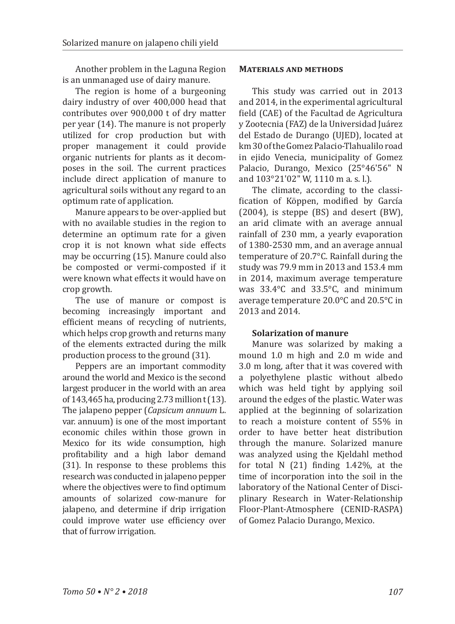Another problem in the Laguna Region is an unmanaged use of dairy manure.

The region is home of a burgeoning dairy industry of over 400,000 head that contributes over 900,000 t of dry matter per year (14). The manure is not properly utilized for crop production but with proper management it could provide organic nutrients for plants as it decomposes in the soil. The current practices include direct application of manure to agricultural soils without any regard to an optimum rate of application.

Manure appears to be over-applied but with no available studies in the region to determine an optimum rate for a given crop it is not known what side effects may be occurring (15). Manure could also be composted or vermi-composted if it were known what effects it would have on crop growth.

The use of manure or compost is becoming increasingly important and efficient means of recycling of nutrients, which helps crop growth and returns many of the elements extracted during the milk production process to the ground (31).

Peppers are an important commodity around the world and Mexico is the second largest producer in the world with an area of 143,465 ha, producing 2.73 million t (13). The jalapeno pepper (*Capsicum annuum* L. var. annuum) is one of the most important economic chiles within those grown in Mexico for its wide consumption, high profitability and a high labor demand (31). In response to these problems this research was conducted in jalapeno pepper where the objectives were to find optimum amounts of solarized cow-manure for jalapeno, and determine if drip irrigation could improve water use efficiency over that of furrow irrigation.

### **Materials and methods**

This study was carried out in 2013 and 2014, in the experimental agricultural field (CAE) of the Facultad de Agricultura y Zootecnia (FAZ) de la Universidad Juárez del Estado de Durango (UJED), located at km 30 of the Gomez Palacio-Tlahualilo road in ejido Venecia, municipality of Gomez Palacio, Durango, Mexico (25°46'56" N and 103°21'02" W, 1110 m a. s. l.).

The climate, according to the classification of Köppen, modified by García (2004), is steppe (BS) and desert (BW), an arid climate with an average annual rainfall of 230 mm, a yearly evaporation of 1380-2530 mm, and an average annual temperature of 20.7°C. Rainfall during the study was 79.9 mm in 2013 and 153.4 mm in 2014, maximum average temperature was 33.4°C and 33.5°C, and minimum average temperature 20.0°C and 20.5°C in 2013 and 2014.

## **Solarization of manure**

Manure was solarized by making a mound 1.0 m high and 2.0 m wide and 3.0 m long, after that it was covered with a polyethylene plastic without albedo which was held tight by applying soil around the edges of the plastic. Water was applied at the beginning of solarization to reach a moisture content of 55% in order to have better heat distribution through the manure. Solarized manure was analyzed using the Kjeldahl method for total N (21) finding 1.42%, at the time of incorporation into the soil in the laboratory of the National Center of Disciplinary Research in Water-Relationship Floor-Plant-Atmosphere (CENID-RASPA) of Gomez Palacio Durango, Mexico.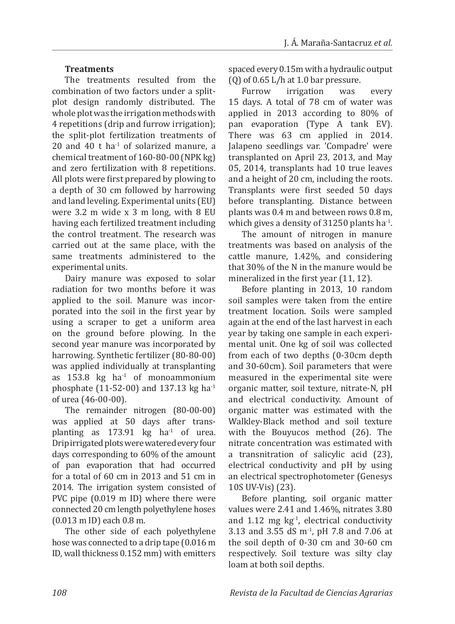## **Treatments**

The treatments resulted from the combination of two factors under a splitplot design randomly distributed. The whole plot was the irrigation methods with 4 repetitions (drip and furrow irrigation); the split-plot fertilization treatments of 20 and 40 t ha $^{-1}$  of solarized manure, a chemical treatment of 160-80-00 (NPK kg) and zero fertilization with 8 repetitions. All plots were first prepared by plowing to a depth of 30 cm followed by harrowing and land leveling. Experimental units (EU) were 3.2 m wide x 3 m long, with 8 EU having each fertilized treatment including the control treatment. The research was carried out at the same place, with the same treatments administered to the experimental units.

Dairy manure was exposed to solar radiation for two months before it was applied to the soil. Manure was incorporated into the soil in the first year by using a scraper to get a uniform area on the ground before plowing. In the second year manure was incorporated by harrowing. Synthetic fertilizer (80-80-00) was applied individually at transplanting as  $153.8$  kg ha $^{-1}$  of monoammonium phosphate (11-52-00) and 137.13 kg ha-1 of urea (46-00-00).

The remainder nitrogen (80-00-00) was applied at 50 days after transplanting as  $173.91$  kg ha<sup>-1</sup> of urea. Drip irrigated plots were watered every four days corresponding to 60% of the amount of pan evaporation that had occurred for a total of 60 cm in 2013 and 51 cm in 2014. The irrigation system consisted of PVC pipe (0.019 m ID) where there were connected 20 cm length polyethylene hoses (0.013 m ID) each 0.8 m.

The other side of each polyethylene hose was connected to a drip tape (0.016 m ID, wall thickness 0.152 mm) with emitters

spaced every 0.15m with a hydraulic output (Q) of 0.65 L/h at 1.0 bar pressure.<br>Furrow irrigation was

irrigation was every 15 days. A total of 78 cm of water was applied in 2013 according to 80% of pan evaporation (Type A tank EV). There was 63 cm applied in 2014. Jalapeno seedlings var. 'Compadre' were transplanted on April 23, 2013, and May 05, 2014, transplants had 10 true leaves and a height of 20 cm, including the roots. Transplants were first seeded 50 days before transplanting. Distance between plants was 0.4 m and between rows 0.8 m, which gives a density of  $31250$  plants ha<sup>-1</sup>.

The amount of nitrogen in manure treatments was based on analysis of the cattle manure, 1.42%, and considering that 30% of the N in the manure would be mineralized in the first year (11, 12).

Before planting in 2013, 10 random soil samples were taken from the entire treatment location. Soils were sampled again at the end of the last harvest in each year by taking one sample in each experimental unit. One kg of soil was collected from each of two depths (0-30cm depth and 30-60cm). Soil parameters that were measured in the experimental site were organic matter, soil texture, nitrate-N, pH and electrical conductivity. Amount of organic matter was estimated with the Walkley-Black method and soil texture with the Bouyucos method (26). The nitrate concentration was estimated with a transnitration of salicylic acid (23), electrical conductivity and pH by using an electrical spectrophotometer (Genesys 10S UV-Vis) (23).

Before planting, soil organic matter values were 2.41 and 1.46%, nitrates 3.80 and  $1.12$  mg kg<sup>-1</sup>, electrical conductivity 3.13 and 3.55 dS m<sup>-1</sup>, pH 7.8 and 7.06 at the soil depth of 0-30 cm and 30-60 cm respectively. Soil texture was silty clay loam at both soil depths.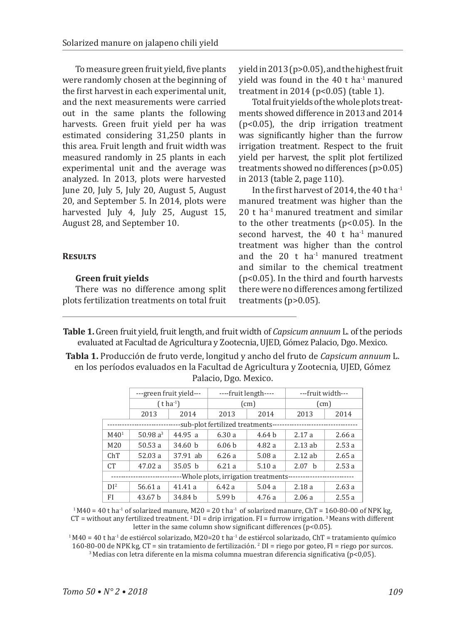To measure green fruit yield, five plants were randomly chosen at the beginning of the first harvest in each experimental unit, and the next measurements were carried out in the same plants the following harvests. Green fruit yield per ha was estimated considering 31,250 plants in this area. Fruit length and fruit width was measured randomly in 25 plants in each experimental unit and the average was analyzed. In 2013, plots were harvested June 20, July 5, July 20, August 5, August 20, and September 5. In 2014, plots were harvested July 4, July 25, August 15, August 28, and September 10.

## **Results**

## **Green fruit yields**

There was no difference among split plots fertilization treatments on total fruit

yield in 2013 (p>0.05), and the highest fruit yield was found in the 40 t ha-1 manured treatment in 2014 (p<0.05) (table 1).

Total fruit yields of the whole plots treatments showed difference in 2013 and 2014 (p<0.05), the drip irrigation treatment was significantly higher than the furrow irrigation treatment. Respect to the fruit yield per harvest, the split plot fertilized treatments showed no differences (p>0.05) in 2013 (table 2, page 110).

In the first harvest of 2014, the 40 t ha-1 manured treatment was higher than the  $20$  t ha<sup>-1</sup> manured treatment and similar to the other treatments (p<0.05). In the second harvest, the  $40$  t ha<sup>-1</sup> manured treatment was higher than the control and the  $20$  t ha<sup>-1</sup> manured treatment and similar to the chemical treatment (p<0.05). In the third and fourth harvests there were no differences among fertilized treatments (p>0.05).

- **Table 1.** Green fruit yield, fruit length, and fruit width of *Capsicum annuum* L. of the periods evaluated at Facultad de Agricultura y Zootecnia, UJED, Gómez Palacio, Dgo. Mexico.
- **Tabla 1.** Producción de fruto verde, longitud y ancho del fruto de *Capsicum annuum* L. en los períodos evaluados en la Facultad de Agricultura y Zootecnia, UJED, Gómez Palacio, Dgo. Mexico.

|                                                                | ---green fruit yield---  |                    | ----fruit length---- |       | ---fruit width--- |       |  |  |  |  |
|----------------------------------------------------------------|--------------------------|--------------------|----------------------|-------|-------------------|-------|--|--|--|--|
|                                                                | $(t)$ ha <sup>-1</sup> ) |                    |                      | (cm)  | (cm)              |       |  |  |  |  |
|                                                                | 2013                     | 2014               | 2013                 | 2014  | 2013              | 2014  |  |  |  |  |
| -sub-plot fertilized treatments-                               |                          |                    |                      |       |                   |       |  |  |  |  |
| M40 <sup>1</sup>                                               | 50.98 $a^3$              | 44.95a             | 6.30a                | 4.64h | 2.17a             | 2.66a |  |  |  |  |
| M <sub>20</sub>                                                | 50.53a                   | 34.60 h            | 6.06 <sub>b</sub>    | 4.82a | $2.13$ ab         | 2.53a |  |  |  |  |
| ChT                                                            | 52.03a                   | 37.91 ab           | 6.26a                | 5.08a | $2.12$ ab         | 2.65a |  |  |  |  |
| CT <sup>-</sup>                                                | 47.02 a                  | 35.05 <sub>b</sub> | 6.21a                | 5.10a | 2.07 h            | 2.53a |  |  |  |  |
| -Whole plots, irrigation treatments-<br>---------------------- |                          |                    |                      |       |                   |       |  |  |  |  |
| DI <sup>2</sup>                                                | 56.61 a                  | 41.41a             | 6.42a                | 5.04a | 2.18a             | 2.63a |  |  |  |  |
| FI                                                             | 43.67 b                  | 34.84 h            | 5.99 <sub>b</sub>    | 4.76a | 2.06a             | 2.55a |  |  |  |  |

 $1 M40 = 40$  t ha<sup>-1</sup> of solarized manure, M20 = 20 t ha<sup>-1</sup> of solarized manure, ChT = 160-80-00 of NPK kg, CT = without any fertilized treatment.  ${}^{2}$ DI = drip irrigation. FI = furrow irrigation.  ${}^{3}$  Means with different letter in the same column show significant differences  $(p<0.05)$ .

 $1 M40 = 40$  t ha<sup>-1</sup> de estiércol solarizado, M20=20 t ha<sup>-1</sup> de estiércol solarizado, ChT = tratamiento químico 160-80-00 de NPK kg,  $CT = \sin$  tratamiento de fertilización. <sup>2</sup> DI = riego por goteo, FI = riego por surcos.  $3$  Medias con letra diferente en la misma columna muestran diferencia significativa (p<0,05).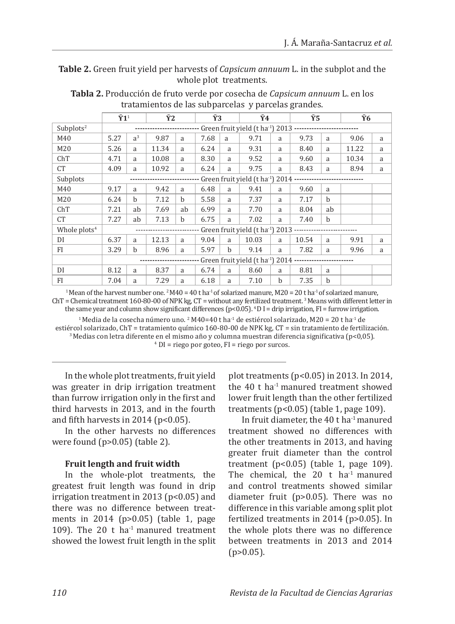**Table 2.** Green fruit yield per harvests of *Capsicum annuum* L. in the subplot and the whole plot treatments.

|                          | $\bar{Y}1^1$                                                           |                | $\bar{Y}2$ |    | Ÿ3   |              | $\bar{Y}4$ |   | Ϋ́5   |    | Ÿ6    |   |
|--------------------------|------------------------------------------------------------------------|----------------|------------|----|------|--------------|------------|---|-------|----|-------|---|
| Subplots <sup>2</sup>    | Green fruit yield (t ha <sup>-1</sup> ) 2013 ----------------------    |                |            |    |      |              |            |   |       |    |       |   |
| M40                      | 5.27                                                                   | a <sup>3</sup> | 9.87       | a  | 7.68 | a            | 9.71       | a | 9.73  | a  | 9.06  | a |
| M <sub>20</sub>          | 5.26                                                                   | a              | 11.34      | a  | 6.24 | a            | 9.31       | a | 8.40  | a  | 11.22 | a |
| ChT                      | 4.71                                                                   | a              | 10.08      | a  | 8.30 | a            | 9.52       | a | 9.60  | a  | 10.34 | a |
| <b>CT</b>                | 4.09                                                                   | a              | 10.92      | a  | 6.24 | a            | 9.75       | a | 8.43  | a  | 8.94  | a |
| Subplots                 | Green fruit yield (t ha <sup>-1</sup> ) 2014 --<br>------------------- |                |            |    |      |              |            |   |       |    |       |   |
| M40                      | 9.17                                                                   | a              | 9.42       | a  | 6.48 | a            | 9.41       | a | 9.60  | a  |       |   |
| M <sub>20</sub>          | 6.24                                                                   | $\mathbf b$    | 7.12       | h  | 5.58 | a            | 7.37       | a | 7.17  | b  |       |   |
| ChT                      | 7.21                                                                   | ab             | 7.69       | ab | 6.99 | a            | 7.70       | a | 8.04  | ab |       |   |
| <b>CT</b>                | 7.27                                                                   | ab             | 7.13       | h  | 6.75 | a            | 7.02       | a | 7.40  | h  |       |   |
| Whole plots <sup>4</sup> | Green fruit yield (t ha <sup>-1</sup> ) 2013 -----------------         |                |            |    |      |              |            |   |       |    |       |   |
| DI                       | 6.37                                                                   | a              | 12.13      | a  | 9.04 | a            | 10.03      | a | 10.54 | a  | 9.91  | a |
| FI                       | 3.29                                                                   | $\mathbf b$    | 8.96       | a  | 5.97 | <sub>b</sub> | 9.14       | a | 7.82  | a  | 9.96  | a |
|                          | Green fruit yield (t ha <sup>-1</sup> ) 2014 --                        |                |            |    |      |              |            |   |       |    |       |   |
| DI                       | 8.12                                                                   | a              | 8.37       | a  | 6.74 | a            | 8.60       | a | 8.81  | a  |       |   |
| FI                       | 7.04                                                                   | a              | 7.29       | a  | 6.18 | a            | 7.10       | b | 7.35  | b  |       |   |

**Tabla 2.** Producción de fruto verde por cosecha de *Capsicum annuum* L. en los tratamientos de las subparcelas y parcelas grandes.

<sup>1</sup> Mean of the harvest number one. <sup>2</sup> M40 = 40 t ha<sup>-1</sup> of solarized manure, M20 = 20 t ha<sup>-1</sup> of solarized manure, ChT = Chemical treatment 160-80-00 of NPK kg, CT = without any fertilized treatment. 3 Means with different letter in the same year and column show significant differences ( $p$ <0.05). <sup>4</sup>D I = drip irrigation, FI = furrow irrigation.

<sup>1</sup> Media de la cosecha número uno. <sup>2</sup> M40=40 t ha<sup>-1</sup> de estiércol solarizado, M20 = 20 t ha<sup>-1</sup> de estiércol solarizado, ChT = tratamiento químico 160-80-00 de NPK kg, CT = sin tratamiento de fertilización.  $3$ Medias con letra diferente en el mismo año y columna muestran diferencia significativa (p<0,05). 4 DI = riego por goteo, FI = riego por surcos.

In the whole plot treatments, fruit yield was greater in drip irrigation treatment than furrow irrigation only in the first and third harvests in 2013, and in the fourth and fifth harvests in 2014 (p<0.05).

In the other harvests no differences were found (p>0.05) (table 2).

## **Fruit length and fruit width**

In the whole-plot treatments, the greatest fruit length was found in drip irrigation treatment in 2013 (p<0.05) and there was no difference between treatments in 2014 (p>0.05) (table 1, page 109). The 20  $t$  ha<sup>-1</sup> manured treatment showed the lowest fruit length in the split plot treatments (p<0.05) in 2013. In 2014, the  $40$  t ha<sup>-1</sup> manured treatment showed lower fruit length than the other fertilized treatments (p<0.05) (table 1, page 109).

In fruit diameter, the 40 t ha-1 manured treatment showed no differences with the other treatments in 2013, and having greater fruit diameter than the control treatment  $(p<0.05)$  (table 1, page 109). The chemical, the  $20$  t ha<sup>-1</sup> manured and control treatments showed similar diameter fruit (p>0.05). There was no difference in this variable among split plot fertilized treatments in 2014 (p>0.05). In the whole plots there was no difference between treatments in 2013 and 2014  $(p>0.05)$ .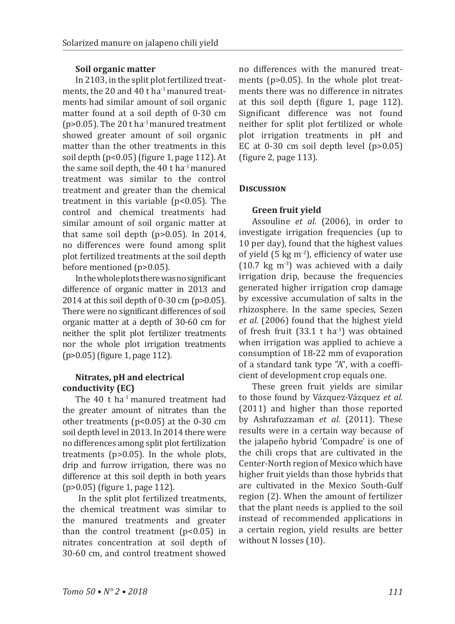## **Soil organic matter**

In 2103, in the split plot fertilized treatments, the 20 and 40 t ha<sup>-1</sup> manured treatments had similar amount of soil organic matter found at a soil depth of 0-30 cm ( $p > 0.05$ ). The 20 t ha<sup>-1</sup> manured treatment showed greater amount of soil organic matter than the other treatments in this soil depth (p<0.05) (figure 1, page 112). At the same soil depth, the 40 t ha<sup>-1</sup> manured treatment was similar to the control treatment and greater than the chemical treatment in this variable  $(p<0.05)$ . The control and chemical treatments had similar amount of soil organic matter at that same soil depth (p>0.05). In 2014, no differences were found among split plot fertilized treatments at the soil depth before mentioned (p>0.05).

In the whole plots there was no significant difference of organic matter in 2013 and 2014 at this soil depth of 0-30 cm (p>0.05). There were no significant differences of soil organic matter at a depth of 30-60 cm for neither the split plot fertilizer treatments nor the whole plot irrigation treatments (p>0.05) (figure 1, page 112).

## **Nitrates, pH and electrical conductivity (EC)**

The 40 t ha<sup>-1</sup> manured treatment had the greater amount of nitrates than the other treatments (p<0.05) at the 0-30 cm soil depth level in 2013. In 2014 there were no differences among split plot fertilization treatments (p>0.05). In the whole plots, drip and furrow irrigation, there was no difference at this soil depth in both years (p>0.05) (figure 1, page 112).

 In the split plot fertilized treatments, the chemical treatment was similar to the manured treatments and greater than the control treatment  $(p<0.05)$  in nitrates concentration at soil depth of 30-60 cm, and control treatment showed

no differences with the manured treatments (p>0.05). In the whole plot treatments there was no difference in nitrates at this soil depth (figure 1, page 112). Significant difference was not found neither for split plot fertilized or whole plot irrigation treatments in pH and EC at  $0-30$  cm soil depth level  $(p>0.05)$ (figure 2, page 113).

## **Discussion**

## **Green fruit yield**

Assouline *et al.* (2006), in order to investigate irrigation frequencies (up to 10 per day), found that the highest values of yield  $(5 \text{ kg m}^2)$ , efficiency of water use  $(10.7 \text{ kg m}^{-3})$  was achieved with a daily irrigation drip, because the frequencies generated higher irrigation crop damage by excessive accumulation of salts in the rhizosphere. In the same species, Sezen *et al.* (2006) found that the highest yield of fresh fruit  $(33.1 \text{ t} \text{ ha}^{-1})$  was obtained when irrigation was applied to achieve a consumption of 18-22 mm of evaporation of a standard tank type "A", with a coefficient of development crop equals one.

These green fruit yields are similar to those found by Vázquez-Vázquez *et al.* (2011) and higher than those reported by Ashrafuzzaman *et al.* (2011). These results were in a certain way because of the jalapeño hybrid 'Compadre' is one of the chili crops that are cultivated in the Center-North region of Mexico which have higher fruit yields than those hybrids that are cultivated in the Mexico South-Gulf region (2). When the amount of fertilizer that the plant needs is applied to the soil instead of recommended applications in a certain region, yield results are better without N losses (10).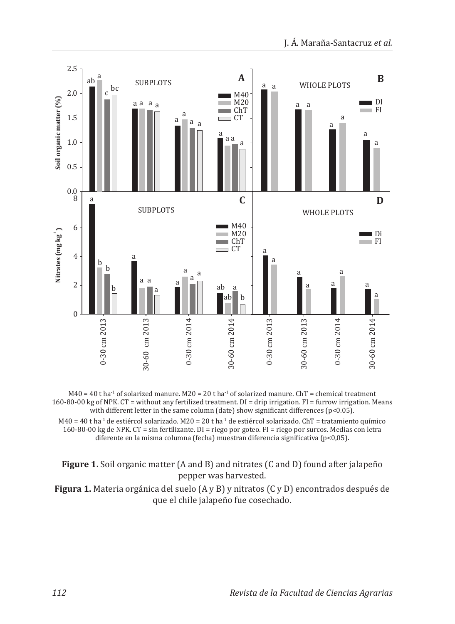



M40 = 40 t ha<sup>-1</sup> de estiércol solarizado. M20 = 20 t ha<sup>-1</sup> de estiércol solarizado. ChT = tratamiento químico 160-80-00 kg de NPK. CT = sin fertilizante. DI = riego por goteo. FI = riego por surcos. Medias con letra diferente en la misma columna (fecha) muestran diferencia significativa (p<0,05).

**Figure 1.** Soil organic matter (A and B) and nitrates (C and D) found after jalapeño pepper was harvested.

**Figura 1.** Materia orgánica del suelo (A y B) y nitratos (C y D) encontrados después de que el chile jalapeño fue cosechado.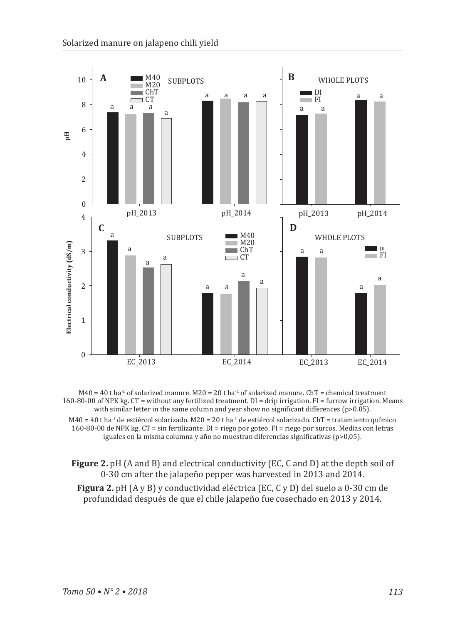

 $M40 = 40$  t ha<sup>-1</sup> of solarized manure.  $M20 = 20$  t ha<sup>-1</sup> of solarized manure. ChT = chemical treatment 160-80-00 of NPK kg. CT = without any fertilized treatment. DI = drip irrigation. FI = furrow irrigation. Means with similar letter in the same column and year show no significant differences ( $p>0.05$ ).  $M40 = 40$  t ha<sup>-1</sup> de estiércol solarizado.  $M20 = 20$  t ha<sup>-1</sup> de estiércol solarizado. ChT = tratamiento químico

160-80-00 de NPK kg. CT = sin fertilizante. DI = riego por goteo. FI = riego por surcos. Medias con letras iguales en la misma columna y año no muestran diferencias significativas (p>0,05).

**Figure 2.** pH (A and B) and electrical conductivity (EC, C and D) at the depth soil of 0-30 cm after the jalapeño pepper was harvested in 2013 and 2014. **Figura 2.** pH (A y B) y conductividad eléctrica (EC, C y D) del suelo a 0-30 cm de profundidad después de que el chile jalapeño fue cosechado en 2013 y 2014.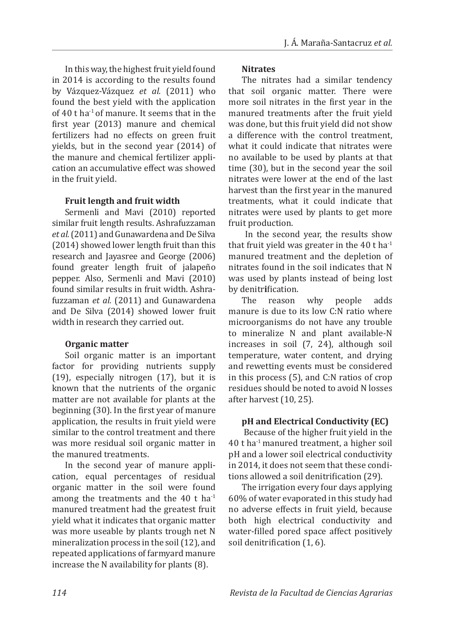In this way, the highest fruit yield found in 2014 is according to the results found by Vázquez-Vázquez *et al.* (2011) who found the best yield with the application of 40 t ha-1 of manure. It seems that in the first year (2013) manure and chemical fertilizers had no effects on green fruit yields, but in the second year (2014) of the manure and chemical fertilizer application an accumulative effect was showed in the fruit yield.

## **Fruit length and fruit width**

Sermenli and Mavi (2010) reported similar fruit length results. Ashrafuzzaman *et al.* (2011) and Gunawardena and De Silva (2014) showed lower length fruit than this research and Jayasree and George (2006) found greater length fruit of jalapeño pepper. Also, Sermenli and Mavi (2010) found similar results in fruit width. Ashrafuzzaman *et al.* (2011) and Gunawardena and De Silva (2014) showed lower fruit width in research they carried out.

#### **Organic matter**

Soil organic matter is an important factor for providing nutrients supply (19), especially nitrogen (17), but it is known that the nutrients of the organic matter are not available for plants at the beginning (30). In the first year of manure application, the results in fruit yield were similar to the control treatment and there was more residual soil organic matter in the manured treatments.

In the second year of manure application, equal percentages of residual organic matter in the soil were found among the treatments and the 40 t ha $^{-1}$ manured treatment had the greatest fruit yield what it indicates that organic matter was more useable by plants trough net N mineralization process in the soil (12), and repeated applications of farmyard manure increase the N availability for plants (8).

### **Nitrates**

The nitrates had a similar tendency that soil organic matter. There were more soil nitrates in the first year in the manured treatments after the fruit yield was done, but this fruit yield did not show a difference with the control treatment, what it could indicate that nitrates were no available to be used by plants at that time (30), but in the second year the soil nitrates were lower at the end of the last harvest than the first year in the manured treatments, what it could indicate that nitrates were used by plants to get more fruit production.

 In the second year, the results show that fruit yield was greater in the  $40$  t ha<sup>-1</sup> manured treatment and the depletion of nitrates found in the soil indicates that N was used by plants instead of being lost by denitrification.<br>The reason

The reason why people adds manure is due to its low C:N ratio where microorganisms do not have any trouble to mineralize N and plant available-N increases in soil (7, 24), although soil temperature, water content, and drying and rewetting events must be considered in this process (5), and C:N ratios of crop residues should be noted to avoid N losses after harvest (10, 25).

## **pH and Electrical Conductivity (EC)**

 Because of the higher fruit yield in the 40 t ha-1 manured treatment, a higher soil pH and a lower soil electrical conductivity in 2014, it does not seem that these conditions allowed a soil denitrification (29).

The irrigation every four days applying 60% of water evaporated in this study had no adverse effects in fruit yield, because both high electrical conductivity and water-filled pored space affect positively soil denitrification (1, 6).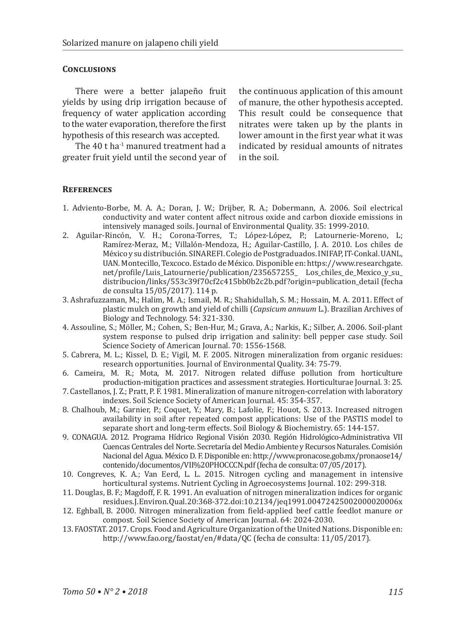#### **Conclusions**

There were a better jalapeño fruit yields by using drip irrigation because of frequency of water application according to the water evaporation, therefore the first hypothesis of this research was accepted.

The 40 t ha<sup>-1</sup> manured treatment had a greater fruit yield until the second year of

the continuous application of this amount of manure, the other hypothesis accepted. This result could be consequence that nitrates were taken up by the plants in lower amount in the first year what it was indicated by residual amounts of nitrates in the soil.

#### **References**

- 1. Adviento-Borbe, M. A. A.; Doran, J. W.; Drijber, R. A.; Dobermann, A. 2006. Soil electrical conductivity and water content affect nitrous oxide and carbon dioxide emissions in intensively managed soils. Journal of Environmental Quality. 35: 1999-2010.
- 2. Aguilar-Rincón, V. H.; Corona-Torres, T.; López-López, P.; Latournerie-Moreno, L; Ramírez-Meraz, M.; Villalón-Mendoza, H.; Aguilar-Castillo, J. A. 2010. Los chiles de México y su distribución. SINAREFI. Colegio de Postgraduados. INIFAP, IT-Conkal. UANL, UAN. Montecillo, Texcoco. Estado de México. Disponible en: https://www.researchgate. net/profile/Luis\_Latournerie/publication/235657255\_ Los\_chiles\_de\_Mexico\_y\_su distribucion/links/553c39f70cf2c415bb0b2c2b.pdf?origin=publication\_detail (fecha de consulta 15/05/2017). 114 p.
- 3. Ashrafuzzaman, M.; Halim, M. A.; Ismail, M. R.; Shahidullah, S. M.; Hossain, M. A. 2011. Effect of plastic mulch on growth and yield of chilli (*Capsicum annuum* L.). Brazilian Archives of Biology and Technology. 54: 321-330.
- 4. Assouline, S.; Möller, M.; Cohen, S.; Ben-Hur, M.; Grava, A.; Narkis, K.; Silber, A. 2006. Soil-plant system response to pulsed drip irrigation and salinity: bell pepper case study. Soil Science Society of American Journal. 70: 1556-1568.
- 5. Cabrera, M. L.; Kissel, D. E.; Vigil, M. F. 2005. Nitrogen mineralization from organic residues: research opportunities. Journal of Environmental Quality. 34: 75-79.
- 6. Cameira, M. R.; Mota, M. 2017. Nitrogen related diffuse pollution from horticulture production-mitigation practices and assessment strategies. Horticulturae Journal. 3: 25.
- 7. Castellanos, J. Z.; Pratt, P. F. 1981. Mineralization of manure nitrogen-correlation with laboratory indexes. Soil Science Society of American Journal. 45: 354-357.
- 8. Chalhoub, M.; Garnier, P.; Coquet, Y.; Mary, B.; Lafolie, F.; Houot, S. 2013. Increased nitrogen availability in soil after repeated compost applications: Use of the PASTIS model to separate short and long-term effects. Soil Biology & Biochemistry. 65: 144-157.
- 9. CONAGUA. 2012. Programa Hídrico Regional Visión 2030. Región Hidrológico-Administrativa VII Cuencas Centrales del Norte. Secretaría del Medio Ambiente y Recursos Naturales. Comisión Nacional del Agua. México D. F. Disponible en: http://www.pronacose.gob.mx/pronaose14/ contenido/documentos/VII%20PHOCCCN.pdf (fecha de consulta: 07/05/2017).
- 10. Congreves, K. A.; Van Eerd, L. L. 2015. Nitrogen cycling and management in intensive horticultural systems. Nutrient Cycling in Agroecosystems Journal. 102: 299-318.
- 11. Douglas, B. F.; Magdoff, F. R. 1991. An evaluation of nitrogen mineralization indices for organic residues. J. Environ. Qual. 20:368-372. doi:10.2134/jeq1991.00472425002000020006x
- 12. Eghball, B. 2000. Nitrogen mineralization from field-applied beef cattle feedlot manure or compost. Soil Science Society of American Journal. 64: 2024-2030.
- 13. FAOSTAT. 2017. Crops. Food and Agriculture Organization of the United Nations. Disponible en: http://www.fao.org/faostat/en/#data/QC (fecha de consulta: 11/05/2017).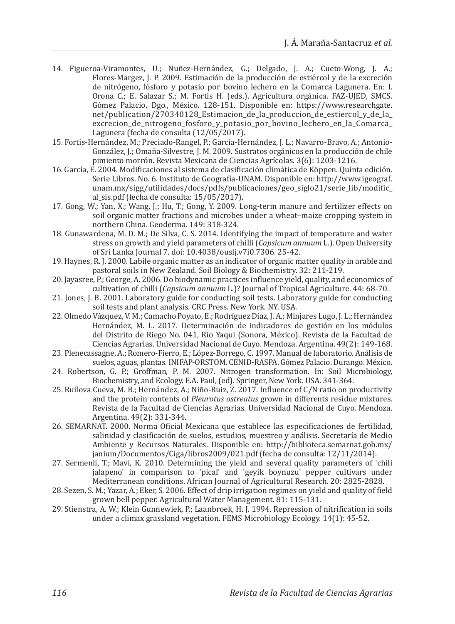- 14. Figueroa-Viramontes, U.; Nuñez-Hernández, G.; Delgado, J. A.; Cueto-Wong, J. A.; Flores-Margez, J. P. 2009. Estimación de la producción de estiércol y de la excreción de nitrógeno, fósforo y potasio por bovino lechero en la Comarca Lagunera. En: I. Orona C.; E. Salazar S.; M. Fortis H. (eds.). Agricultura orgánica. FAZ-UJED, SMCS. Gómez Palacio, Dgo., México. 128-151. Disponible en: https://www.researchgate. net/publication/270340128\_Estimacion\_de\_la\_produccion\_de\_estiercol\_y\_de\_la\_ excrecion de nitrogeno fosforo y potasio por bovino lechero en la Comarca Lagunera (fecha de consulta (12/05/2017).
- 15. Fortis-Hernández, M.; Preciado-Rangel, P.; García-Hernández, J. L.; Navarro-Bravo, A.; Antonio-González, J.; Omaña-Silvestre, J. M. 2009. Sustratos orgánicos en la producción de chile pimiento morrón. Revista Mexicana de Ciencias Agrícolas. 3(6): 1203-1216.
- 16. García, E. 2004. Modificaciones al sistema de clasificación climática de Köppen. Quinta edición. Serie Libros. No. 6. Instituto de Geografía-UNAM. Disponible en: http://www.igeograf. unam.mx/sigg/utilidades/docs/pdfs/publicaciones/geo\_siglo21/serie\_lib/modific\_ al\_sis.pdf (fecha de consulta: 15/05/2017).
- 17. Gong, W.; Yan, X.; Wang, J.; Hu, T.; Gong, Y. 2009. Long-term manure and fertilizer effects on soil organic matter fractions and microbes under a wheat–maize cropping system in northern China. Geoderma. 149: 318-324.
- 18. Gunawardena, M. D. M.; De Silva, C. S. 2014. Identifying the impact of temperature and water stress on growth and yield parameters of chilli (*Capsicum annuum* L.). Open University of Sri Lanka Journal 7. doi: 10.4038/ouslj.v7i0.7306. 25-42.
- 19. Haynes, R. J. 2000. Labile organic matter as an indicator of organic matter quality in arable and pastoral soils in New Zealand. Soil Biology & Biochemistry. 32: 211-219.
- 20. Jayasree, P.; George, A. 2006. Do biodynamic practices influence yield, quality, and economics of cultivation of chilli (*Capsicum annuum* L.)? Journal of Tropical Agriculture. 44: 68-70.
- 21. Jones, J. B. 2001. Laboratory guide for conducting soil tests. Laboratory guide for conducting soil tests and plant analysis. CRC Press. New York. NY. USA.
- 22. Olmedo Vázquez, V. M.; Camacho Poyato, E.; Rodríguez Díaz, J. A.; Minjares Lugo, J. L.; Hernández Hernández, M. L. 2017. Determinación de indicadores de gestión en los módulos del Distrito de Riego No. 041, Río Yaqui (Sonora, México). Revista de la Facultad de Ciencias Agrarias. Universidad Nacional de Cuyo. Mendoza. Argentina. 49(2): 149-168.
- 23. Plenecassagne, A.; Romero-Fierro, E.; López-Borrego, C. 1997. Manual de laboratorio. Análisis de suelos, aguas, plantas. INIFAP-ORSTOM. CENID-RASPA. Gómez Palacio. Durango. México.
- 24. Robertson, G. P.; Groffman, P. M. 2007. Nitrogen transformation. In: Soil Microbiology, Biochemistry, and Ecology. E.A. Paul, (ed). Springer, New York. USA. 341-364.
- 25. Ruilova Cueva, M. B.; Hernández, A.; Niño-Ruiz, Z. 2017. Influence of C/N ratio on productivity and the protein contents of *Pleurotus ostreatus* grown in differents residue mixtures. Revista de la Facultad de Ciencias Agrarias. Universidad Nacional de Cuyo. Mendoza. Argentina. 49(2): 331-344.
- 26. SEMARNAT. 2000. Norma Oficial Mexicana que establece las especificaciones de fertilidad, salinidad y clasificación de suelos, estudios, muestreo y análisis. Secretaría de Medio Ambiente y Recursos Naturales. Disponible en: http://biblioteca.semarnat.gob.mx/ janium/Documentos/Ciga/libros2009/021.pdf (fecha de consulta: 12/11/2014).
- 27. Sermenli, T.; Mavi, K. 2010. Determining the yield and several quality parameters of 'chili jalapeno' in comparison to 'pical' and 'geyik boynuzu' pepper cultivars under Mediterranean conditions. African Journal of Agricultural Research. 20: 2825-2828.
- 28. Sezen, S. M.; Yazar, A.; Eker, S. 2006. Effect of drip irrigation regimes on yield and quality of field grown bell pepper. Agricultural Water Management. 81: 115-131.
- 29. Stienstra, A. W.; Klein Gunnewiek, P.; Laanbroek, H. J. 1994. Repression of nitrification in soils under a climax grassland vegetation. FEMS Microbiology Ecology. 14(1): 45-52.